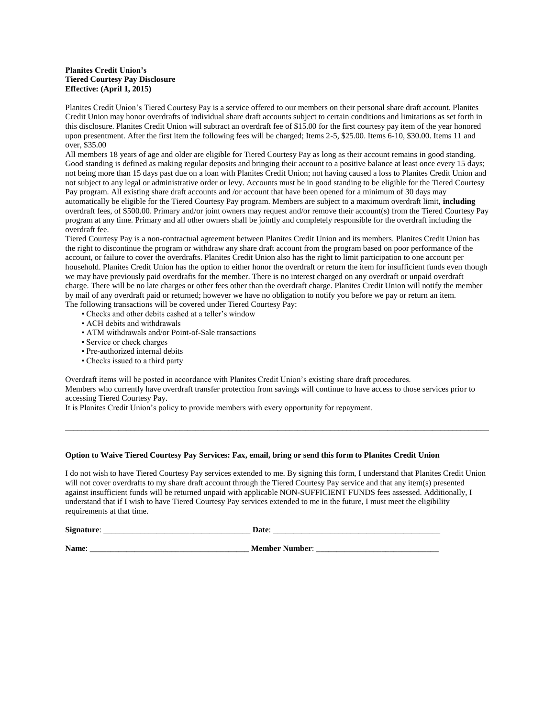#### **Planites Credit Union's Tiered Courtesy Pay Disclosure Effective: (April 1, 2015)**

Planites Credit Union's Tiered Courtesy Pay is a service offered to our members on their personal share draft account. Planites Credit Union may honor overdrafts of individual share draft accounts subject to certain conditions and limitations as set forth in this disclosure. Planites Credit Union will subtract an overdraft fee of \$15.00 for the first courtesy pay item of the year honored upon presentment. After the first item the following fees will be charged; Items 2-5, \$25.00. Items 6-10, \$30.00. Items 11 and over, \$35.00

All members 18 years of age and older are eligible for Tiered Courtesy Pay as long as their account remains in good standing. Good standing is defined as making regular deposits and bringing their account to a positive balance at least once every 15 days; not being more than 15 days past due on a loan with Planites Credit Union; not having caused a loss to Planites Credit Union and not subject to any legal or administrative order or levy. Accounts must be in good standing to be eligible for the Tiered Courtesy Pay program. All existing share draft accounts and /or account that have been opened for a minimum of 30 days may automatically be eligible for the Tiered Courtesy Pay program. Members are subject to a maximum overdraft limit, **including**  overdraft fees, of \$500.00. Primary and/or joint owners may request and/or remove their account(s) from the Tiered Courtesy Pay program at any time. Primary and all other owners shall be jointly and completely responsible for the overdraft including the overdraft fee.

Tiered Courtesy Pay is a non-contractual agreement between Planites Credit Union and its members. Planites Credit Union has the right to discontinue the program or withdraw any share draft account from the program based on poor performance of the account, or failure to cover the overdrafts. Planites Credit Union also has the right to limit participation to one account per household. Planites Credit Union has the option to either honor the overdraft or return the item for insufficient funds even though we may have previously paid overdrafts for the member. There is no interest charged on any overdraft or unpaid overdraft charge. There will be no late charges or other fees other than the overdraft charge. Planites Credit Union will notify the member by mail of any overdraft paid or returned; however we have no obligation to notify you before we pay or return an item. The following transactions will be covered under Tiered Courtesy Pay:

• Checks and other debits cashed at a teller's window

- ACH debits and withdrawals
- ATM withdrawals and/or Point-of-Sale transactions
- Service or check charges
- Pre-authorized internal debits
- Checks issued to a third party

Overdraft items will be posted in accordance with Planites Credit Union's existing share draft procedures. Members who currently have overdraft transfer protection from savings will continue to have access to those services prior to accessing Tiered Courtesy Pay.

**\_\_\_\_\_\_\_\_\_\_\_\_\_\_\_\_\_\_\_\_\_\_\_\_\_\_\_\_\_\_\_\_\_\_\_\_\_\_\_\_\_\_\_\_\_\_\_\_\_\_\_\_\_\_\_\_\_\_\_\_\_\_\_\_\_\_\_\_\_\_\_\_\_\_\_\_\_\_\_\_\_\_\_\_\_\_\_\_\_\_\_\_\_\_\_\_\_\_\_\_\_\_\_\_**

It is Planites Credit Union's policy to provide members with every opportunity for repayment.

#### **Option to Waive Tiered Courtesy Pay Services: Fax, email, bring or send this form to Planites Credit Union**

I do not wish to have Tiered Courtesy Pay services extended to me. By signing this form, I understand that Planites Credit Union will not cover overdrafts to my share draft account through the Tiered Courtesy Pay service and that any item(s) presented against insufficient funds will be returned unpaid with applicable NON-SUFFICIENT FUNDS fees assessed. Additionally, I understand that if I wish to have Tiered Courtesy Pay services extended to me in the future, I must meet the eligibility requirements at that time.

**Signature**: \_\_\_\_\_\_\_\_\_\_\_\_\_\_\_\_\_\_\_\_\_\_\_\_\_\_\_\_\_\_\_\_\_\_\_\_ **Date**: \_\_\_\_\_\_\_\_\_\_\_\_\_\_\_\_\_\_\_\_\_\_\_\_\_\_\_\_\_\_\_\_\_\_\_\_\_\_\_\_\_

**Name**: \_\_\_\_\_\_\_\_\_\_\_\_\_\_\_\_\_\_\_\_\_\_\_\_\_\_\_\_\_\_\_\_\_\_\_\_\_\_\_ **Member Number**: \_\_\_\_\_\_\_\_\_\_\_\_\_\_\_\_\_\_\_\_\_\_\_\_\_\_\_\_\_\_